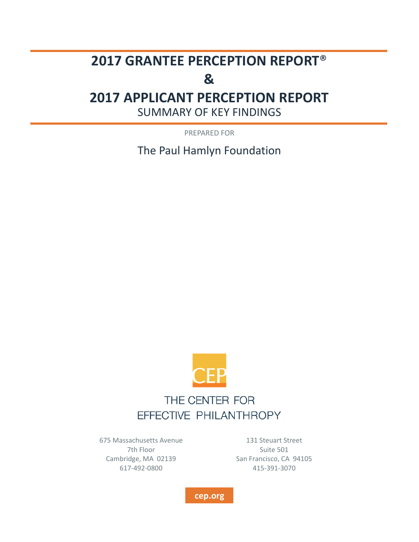# **2017 GRANTEE PERCEPTION REPORT**®

# **&**

# **2017 APPLICANT PERCEPTION REPORT**

SUMMARY OF KEY FINDINGS

PREPARED FOR

The Paul Hamlyn Foundation



# THE CENTER FOR EFFECTIVE PHILANTHROPY

675 Massachusetts Avenue 7th Floor Cambridge, MA 02139 617-492-0800

131 Steuart Street Suite 501 San Francisco, CA 94105 415-391-3070

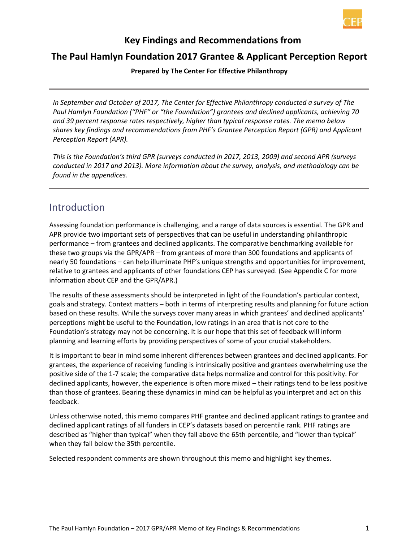

#### **Key Findings and Recommendations from**

#### **The Paul Hamlyn Foundation 2017 Grantee & Applicant Perception Report**

**Prepared by The Center For Effective Philanthropy**

*In September and October of 2017, The Center for Effective Philanthropy conducted a survey of The Paul Hamlyn Foundation ("PHF" or "the Foundation") grantees and declined applicants, achieving 70 and 39 percent response rates respectively, higher than typical response rates. The memo below shares key findings and recommendations from PHF's Grantee Perception Report (GPR) and Applicant Perception Report (APR).* 

*This is the Foundation's third GPR (surveys conducted in 2017, 2013, 2009) and second APR (surveys conducted in 2017 and 2013). More information about the survey, analysis, and methodology can be found in the appendices.*

#### Introduction

Assessing foundation performance is challenging, and a range of data sources is essential. The GPR and APR provide two important sets of perspectives that can be useful in understanding philanthropic performance – from grantees and declined applicants. The comparative benchmarking available for these two groups via the GPR/APR – from grantees of more than 300 foundations and applicants of nearly 50 foundations – can help illuminate PHF's unique strengths and opportunities for improvement, relative to grantees and applicants of other foundations CEP has surveyed. (See Appendix C for more information about CEP and the GPR/APR.)

The results of these assessments should be interpreted in light of the Foundation's particular context, goals and strategy. Context matters – both in terms of interpreting results and planning for future action based on these results. While the surveys cover many areas in which grantees' and declined applicants' perceptions might be useful to the Foundation, low ratings in an area that is not core to the Foundation's strategy may not be concerning. It is our hope that this set of feedback will inform planning and learning efforts by providing perspectives of some of your crucial stakeholders.

It is important to bear in mind some inherent differences between grantees and declined applicants. For grantees, the experience of receiving funding is intrinsically positive and grantees overwhelming use the positive side of the 1-7 scale; the comparative data helps normalize and control for this positivity. For declined applicants, however, the experience is often more mixed – their ratings tend to be less positive than those of grantees. Bearing these dynamics in mind can be helpful as you interpret and act on this feedback.

Unless otherwise noted, this memo compares PHF grantee and declined applicant ratings to grantee and declined applicant ratings of all funders in CEP's datasets based on percentile rank. PHF ratings are described as "higher than typical" when they fall above the 65th percentile, and "lower than typical" when they fall below the 35th percentile.

Selected respondent comments are shown throughout this memo and highlight key themes.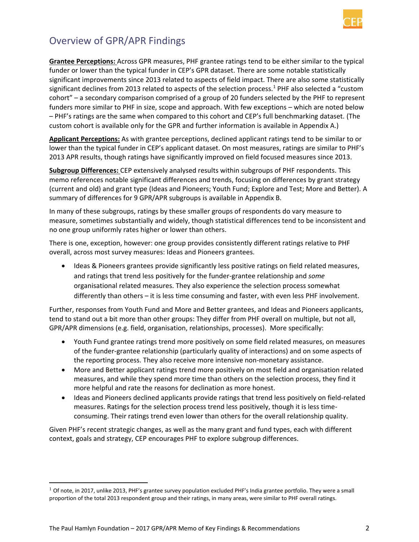

## Overview of GPR/APR Findings

**Grantee Perceptions:** Across GPR measures, PHF grantee ratings tend to be either similar to the typical funder or lower than the typical funder in CEP's GPR dataset. There are some notable statistically significant improvements since 2013 related to aspects of field impact. There are also some statistically significant declines from 2013 related to aspects of the selection process.<sup>1</sup> PHF also selected a "custom" cohort" – a secondary comparison comprised of a group of 20 funders selected by the PHF to represent funders more similar to PHF in size, scope and approach. With few exceptions – which are noted below – PHF's ratings are the same when compared to this cohort and CEP's full benchmarking dataset. (The custom cohort is available only for the GPR and further information is available in Appendix A.)

**Applicant Perceptions:** As with grantee perceptions, declined applicant ratings tend to be similar to or lower than the typical funder in CEP's applicant dataset. On most measures, ratings are similar to PHF's 2013 APR results, though ratings have significantly improved on field focused measures since 2013.

**Subgroup Differences:** CEP extensively analysed results within subgroups of PHF respondents. This memo references notable significant differences and trends, focusing on differences by grant strategy (current and old) and grant type (Ideas and Pioneers; Youth Fund; Explore and Test; More and Better). A summary of differences for 9 GPR/APR subgroups is available in Appendix B.

In many of these subgroups, ratings by these smaller groups of respondents do vary measure to measure, sometimes substantially and widely, though statistical differences tend to be inconsistent and no one group uniformly rates higher or lower than others.

There is one, exception, however: one group provides consistently different ratings relative to PHF overall, across most survey measures: Ideas and Pioneers grantees.

 Ideas & Pioneers grantees provide significantly less positive ratings on field related measures, and ratings that trend less positively for the funder-grantee relationship and *some* organisational related measures. They also experience the selection process somewhat differently than others – it is less time consuming and faster, with even less PHF involvement.

Further, responses from Youth Fund and More and Better grantees, and Ideas and Pioneers applicants, tend to stand out a bit more than other groups: They differ from PHF overall on multiple, but not all, GPR/APR dimensions (e.g. field, organisation, relationships, processes). More specifically:

- Youth Fund grantee ratings trend more positively on some field related measures, on measures of the funder-grantee relationship (particularly quality of interactions) and on some aspects of the reporting process. They also receive more intensive non-monetary assistance.
- More and Better applicant ratings trend more positively on most field and organisation related measures, and while they spend more time than others on the selection process, they find it more helpful and rate the reasons for declination as more honest.
- Ideas and Pioneers declined applicants provide ratings that trend less positively on field-related measures. Ratings for the selection process trend less positively, though it is less timeconsuming. Their ratings trend even lower than others for the overall relationship quality.

Given PHF's recent strategic changes, as well as the many grant and fund types, each with different context, goals and strategy, CEP encourages PHF to explore subgroup differences.

 $\overline{\phantom{a}}$ 

 $1$  Of note, in 2017, unlike 2013, PHF's grantee survey population excluded PHF's India grantee portfolio. They were a small proportion of the total 2013 respondent group and their ratings, in many areas, were similar to PHF overall ratings.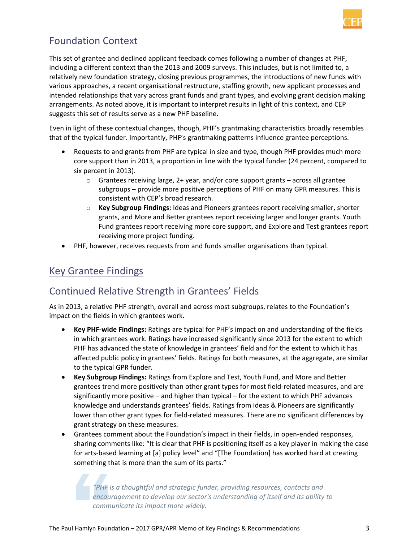

### Foundation Context

This set of grantee and declined applicant feedback comes following a number of changes at PHF, including a different context than the 2013 and 2009 surveys. This includes, but is not limited to, a relatively new foundation strategy, closing previous programmes, the introductions of new funds with various approaches, a recent organisational restructure, staffing growth, new applicant processes and intended relationships that vary across grant funds and grant types, and evolving grant decision making arrangements. As noted above, it is important to interpret results in light of this context, and CEP suggests this set of results serve as a new PHF baseline.

Even in light of these contextual changes, though, PHF's grantmaking characteristics broadly resembles that of the typical funder. Importantly, PHF's grantmaking patterns influence grantee perceptions.

- Requests to and grants from PHF are typical in size and type, though PHF provides much more core support than in 2013, a proportion in line with the typical funder (24 percent, compared to six percent in 2013).
	- $\circ$  Grantees receiving large, 2+ year, and/or core support grants across all grantee subgroups – provide more positive perceptions of PHF on many GPR measures. This is consistent with CEP's broad research.
	- o **Key Subgroup Findings:** Ideas and Pioneers grantees report receiving smaller, shorter grants, and More and Better grantees report receiving larger and longer grants. Youth Fund grantees report receiving more core support, and Explore and Test grantees report receiving more project funding.
- PHF, however, receives requests from and funds smaller organisations than typical.

### Key Grantee Findings

### Continued Relative Strength in Grantees' Fields

As in 2013, a relative PHF strength, overall and across most subgroups, relates to the Foundation's impact on the fields in which grantees work.

- **Key PHF-wide Findings:** Ratings are typical for PHF's impact on and understanding of the fields in which grantees work. Ratings have increased significantly since 2013 for the extent to which PHF has advanced the state of knowledge in grantees' field and for the extent to which it has affected public policy in grantees' fields. Ratings for both measures, at the aggregate, are similar to the typical GPR funder.
- **Key Subgroup Findings:** Ratings from Explore and Test, Youth Fund, and More and Better grantees trend more positively than other grant types for most field-related measures, and are significantly more positive – and higher than typical – for the extent to which PHF advances knowledge and understands grantees' fields. Ratings from Ideas & Pioneers are significantly lower than other grant types for field-related measures. There are no significant differences by grant strategy on these measures.
- Grantees comment about the Foundation's impact in their fields, in open-ended responses, sharing comments like: "It is clear that PHF is positioning itself as a key player in making the case for arts-based learning at [a] policy level" and "[The Foundation] has worked hard at creating something that is more than the sum of its parts."

*"PHF is a thoughtful and strategic funder, providing resources, contacts and encouragement to develop our sector's understanding of itself and its ability to communicate its impact more widely.*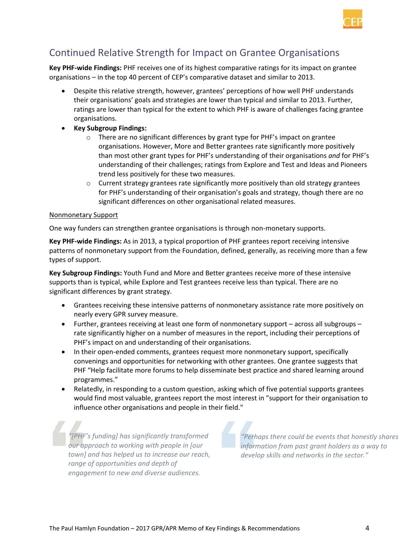

### Continued Relative Strength for Impact on Grantee Organisations

**Key PHF-wide Findings:** PHF receives one of its highest comparative ratings for its impact on grantee organisations – in the top 40 percent of CEP's comparative dataset and similar to 2013.

- Despite this relative strength, however, grantees' perceptions of how well PHF understands their organisations' goals and strategies are lower than typical and similar to 2013. Further, ratings are lower than typical for the extent to which PHF is aware of challenges facing grantee organisations.
- **Key Subgroup Findings:**
	- o There are no significant differences by grant type for PHF's impact on grantee organisations. However, More and Better grantees rate significantly more positively than most other grant types for PHF's understanding of their organisations *and* for PHF's understanding of their challenges; ratings from Explore and Test and Ideas and Pioneers trend less positively for these two measures.
	- $\circ$  Current strategy grantees rate significantly more positively than old strategy grantees for PHF's understanding of their organisation's goals and strategy, though there are no significant differences on other organisational related measures.

#### Nonmonetary Support

One way funders can strengthen grantee organisations is through non-monetary supports.

**Key PHF-wide Findings:** As in 2013, a typical proportion of PHF grantees report receiving intensive patterns of nonmonetary support from the Foundation, defined, generally, as receiving more than a few types of support.

**Key Subgroup Findings:** Youth Fund and More and Better grantees receive more of these intensive supports than is typical, while Explore and Test grantees receive less than typical. There are no significant differences by grant strategy.

- Grantees receiving these intensive patterns of nonmonetary assistance rate more positively on nearly every GPR survey measure.
- Further, grantees receiving at least one form of nonmonetary support across all subgroups rate significantly higher on a number of measures in the report, including their perceptions of PHF's impact on and understanding of their organisations.
- In their open-ended comments, grantees request more nonmonetary support, specifically convenings and opportunities for networking with other grantees. One grantee suggests that PHF "Help facilitate more forums to help disseminate best practice and shared learning around programmes."
- Relatedly, in responding to a custom question, asking which of five potential supports grantees would find most valuable, grantees report the most interest in "support for their organisation to influence other organisations and people in their field."

*"[PHF's funding] has significantly transformed our approach to working with people in [our town] and has helped us to increase our reach, range of opportunities and depth of engagement to new and diverse audiences.*

*"Perhaps there could be events that honestly shares information from past grant holders as a way to develop skills and networks in the sector."*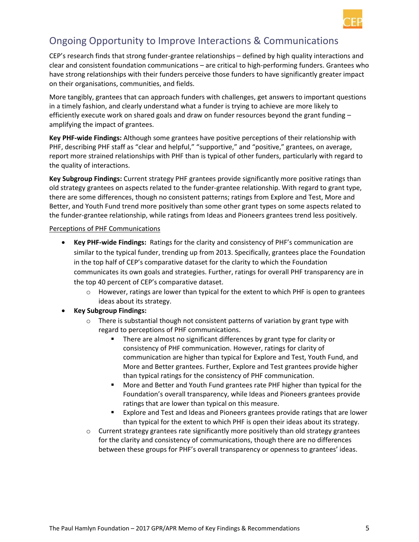

### Ongoing Opportunity to Improve Interactions & Communications

CEP's research finds that strong funder-grantee relationships – defined by high quality interactions and clear and consistent foundation communications – are critical to high-performing funders. Grantees who have strong relationships with their funders perceive those funders to have significantly greater impact on their organisations, communities, and fields.

More tangibly, grantees that can approach funders with challenges, get answers to important questions in a timely fashion, and clearly understand what a funder is trying to achieve are more likely to efficiently execute work on shared goals and draw on funder resources beyond the grant funding – amplifying the impact of grantees.

**Key PHF-wide Findings:** Although some grantees have positive perceptions of their relationship with PHF, describing PHF staff as "clear and helpful," "supportive," and "positive," grantees, on average, report more strained relationships with PHF than is typical of other funders, particularly with regard to the quality of interactions.

**Key Subgroup Findings:** Current strategy PHF grantees provide significantly more positive ratings than old strategy grantees on aspects related to the funder-grantee relationship. With regard to grant type, there are some differences, though no consistent patterns; ratings from Explore and Test, More and Better, and Youth Fund trend more positively than some other grant types on some aspects related to the funder-grantee relationship, while ratings from Ideas and Pioneers grantees trend less positively.

#### Perceptions of PHF Communications

- **Key PHF-wide Findings:** Ratings for the clarity and consistency of PHF's communication are similar to the typical funder, trending up from 2013. Specifically, grantees place the Foundation in the top half of CEP's comparative dataset for the clarity to which the Foundation communicates its own goals and strategies. Further, ratings for overall PHF transparency are in the top 40 percent of CEP's comparative dataset.
	- $\circ$  However, ratings are lower than typical for the extent to which PHF is open to grantees ideas about its strategy.
- **Key Subgroup Findings:** 
	- $\circ$  There is substantial though not consistent patterns of variation by grant type with regard to perceptions of PHF communications.
		- There are almost no significant differences by grant type for clarity or consistency of PHF communication. However, ratings for clarity of communication are higher than typical for Explore and Test, Youth Fund, and More and Better grantees. Further, Explore and Test grantees provide higher than typical ratings for the consistency of PHF communication.
		- More and Better and Youth Fund grantees rate PHF higher than typical for the Foundation's overall transparency, while Ideas and Pioneers grantees provide ratings that are lower than typical on this measure.
		- Explore and Test and Ideas and Pioneers grantees provide ratings that are lower than typical for the extent to which PHF is open their ideas about its strategy.
	- $\circ$  Current strategy grantees rate significantly more positively than old strategy grantees for the clarity and consistency of communications, though there are no differences between these groups for PHF's overall transparency or openness to grantees' ideas.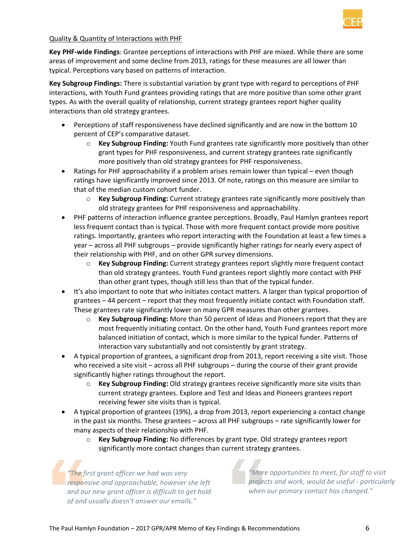

#### Quality & Quantity of Interactions with PHF

**Key PHF-wide Findings**: Grantee perceptions of interactions with PHF are mixed. While there are some areas of improvement and some decline from 2013, ratings for these measures are all lower than typical. Perceptions vary based on patterns of interaction.

**Key Subgroup Findings:** There is substantial variation by grant type with regard to perceptions of PHF interactions, with Youth Fund grantees providing ratings that are more positive than some other grant types. As with the overall quality of relationship, current strategy grantees report higher quality interactions than old strategy grantees.

- Perceptions of staff responsiveness have declined significantly and are now in the bottom 10 percent of CEP's comparative dataset.
	- o **Key Subgroup Finding:** Youth Fund grantees rate significantly more positively than other grant types for PHF responsiveness, and current strategy grantees rate significantly more positively than old strategy grantees for PHF responsiveness.
- Ratings for PHF approachability if a problem arises remain lower than typical even though ratings have significantly improved since 2013. Of note, ratings on this measure are similar to that of the median custom cohort funder.
	- o **Key Subgroup Finding:** Current strategy grantees rate significantly more positively than old strategy grantees for PHF responsiveness and approachability.
- PHF patterns of interaction influence grantee perceptions. Broadly, Paul Hamlyn grantees report less frequent contact than is typical. Those with more frequent contact provide more positive ratings. Importantly, grantees who report interacting with the Foundation at least a few times a year – across all PHF subgroups – provide significantly higher ratings for nearly every aspect of their relationship with PHF, and on other GPR survey dimensions.
	- o **Key Subgroup Finding:** Current strategy grantees report slightly more frequent contact than old strategy grantees. Youth Fund grantees report slightly more contact with PHF than other grant types, though still less than that of the typical funder.
- It's also important to note that *who* initiates contact matters. A larger than typical proportion of grantees – 44 percent – report that they most frequently initiate contact with Foundation staff. These grantees rate significantly lower on many GPR measures than other grantees.
	- o **Key Subgroup Finding:** More than 50 percent of Ideas and Pioneers report that they are most frequently initiating contact. On the other hand, Youth Fund grantees report more balanced initiation of contact, which is more similar to the typical funder. Patterns of interaction vary substantially and not consistently by grant strategy.
- A typical proportion of grantees, a significant drop from 2013, report receiving a site visit. Those who received a site visit – across all PHF subgroups – during the course of their grant provide significantly higher ratings throughout the report.
	- o **Key Subgroup Finding:** Old strategy grantees receive significantly more site visits than current strategy grantees. Explore and Test and Ideas and Pioneers grantees report receiving fewer site visits than is typical.
- A typical proportion of grantees (19%), a drop from 2013, report experiencing a contact change in the past six months. These grantees – across all PHF subgroups – rate significantly lower for many aspects of their relationship with PHF.
	- o **Key Subgroup Finding:** No differences by grant type. Old strategy grantees report significantly more contact changes than current strategy grantees.

*"The first grant officer we had was very responsive and approachable, however she left and our new grant officer is difficult to get hold of and usually doesn't answer our emails."*

*"More opportunities to meet, for staff to visit projects and work, would be useful - particularly when our primary contact has changed."*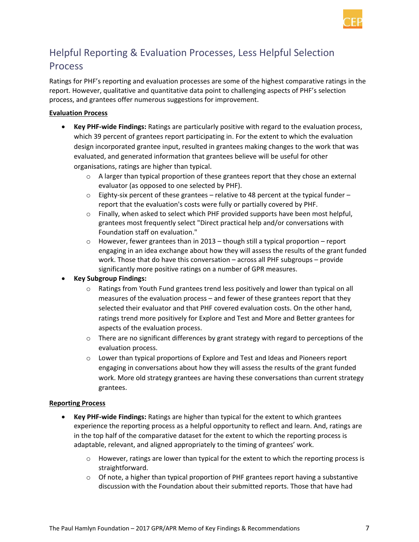

# Helpful Reporting & Evaluation Processes, Less Helpful Selection **Process**

Ratings for PHF's reporting and evaluation processes are some of the highest comparative ratings in the report. However, qualitative and quantitative data point to challenging aspects of PHF's selection process, and grantees offer numerous suggestions for improvement.

#### **Evaluation Process**

- **Key PHF-wide Findings:** Ratings are particularly positive with regard to the evaluation process, which 39 percent of grantees report participating in. For the extent to which the evaluation design incorporated grantee input, resulted in grantees making changes to the work that was evaluated, and generated information that grantees believe will be useful for other organisations, ratings are higher than typical.
	- $\circ$  A larger than typical proportion of these grantees report that they chose an external evaluator (as opposed to one selected by PHF).
	- $\circ$  Eighty-six percent of these grantees relative to 48 percent at the typical funder report that the evaluation's costs were fully or partially covered by PHF.
	- $\circ$  Finally, when asked to select which PHF provided supports have been most helpful, grantees most frequently select "Direct practical help and/or conversations with Foundation staff on evaluation."
	- $\circ$  However, fewer grantees than in 2013 though still a typical proportion report engaging in an idea exchange about how they will assess the results of the grant funded work. Those that do have this conversation – across all PHF subgroups – provide significantly more positive ratings on a number of GPR measures.
- **Key Subgroup Findings:** 
	- o Ratings from Youth Fund grantees trend less positively and lower than typical on all measures of the evaluation process – and fewer of these grantees report that they selected their evaluator and that PHF covered evaluation costs. On the other hand, ratings trend more positively for Explore and Test and More and Better grantees for aspects of the evaluation process.
	- $\circ$  There are no significant differences by grant strategy with regard to perceptions of the evaluation process.
	- o Lower than typical proportions of Explore and Test and Ideas and Pioneers report engaging in conversations about how they will assess the results of the grant funded work. More old strategy grantees are having these conversations than current strategy grantees.

#### **Reporting Process**

- **Key PHF-wide Findings:** Ratings are higher than typical for the extent to which grantees experience the reporting process as a helpful opportunity to reflect and learn. And, ratings are in the top half of the comparative dataset for the extent to which the reporting process is adaptable, relevant, and aligned appropriately to the timing of grantees' work.
	- $\circ$  However, ratings are lower than typical for the extent to which the reporting process is straightforward.
	- $\circ$  Of note, a higher than typical proportion of PHF grantees report having a substantive discussion with the Foundation about their submitted reports. Those that have had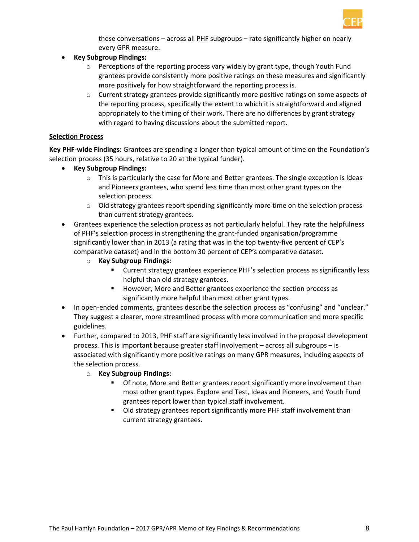

these conversations – across all PHF subgroups – rate significantly higher on nearly every GPR measure.

- **Key Subgroup Findings:** 
	- $\circ$  Perceptions of the reporting process vary widely by grant type, though Youth Fund grantees provide consistently more positive ratings on these measures and significantly more positively for how straightforward the reporting process is.
	- $\circ$  Current strategy grantees provide significantly more positive ratings on some aspects of the reporting process, specifically the extent to which it is straightforward and aligned appropriately to the timing of their work. There are no differences by grant strategy with regard to having discussions about the submitted report.

#### **Selection Process**

**Key PHF-wide Findings:** Grantees are spending a longer than typical amount of time on the Foundation's selection process (35 hours, relative to 20 at the typical funder).

- **Key Subgroup Findings:** 
	- $\circ$  This is particularly the case for More and Better grantees. The single exception is Ideas and Pioneers grantees, who spend less time than most other grant types on the selection process.
	- $\circ$  Old strategy grantees report spending significantly more time on the selection process than current strategy grantees.
- Grantees experience the selection process as not particularly helpful. They rate the helpfulness of PHF's selection process in strengthening the grant-funded organisation/programme significantly lower than in 2013 (a rating that was in the top twenty-five percent of CEP's comparative dataset) and in the bottom 30 percent of CEP's comparative dataset.
	- o **Key Subgroup Findings:** 
		- Current strategy grantees experience PHF's selection process as significantly less helpful than old strategy grantees.
		- However, More and Better grantees experience the section process as significantly more helpful than most other grant types.
- In open-ended comments, grantees describe the selection process as "confusing" and "unclear." They suggest a clearer, more streamlined process with more communication and more specific guidelines.
- Further, compared to 2013, PHF staff are significantly less involved in the proposal development process. This is important because greater staff involvement – across all subgroups – is associated with significantly more positive ratings on many GPR measures, including aspects of the selection process.
	- o **Key Subgroup Findings:** 
		- Of note, More and Better grantees report significantly more involvement than most other grant types. Explore and Test, Ideas and Pioneers, and Youth Fund grantees report lower than typical staff involvement.
		- Old strategy grantees report significantly more PHF staff involvement than current strategy grantees.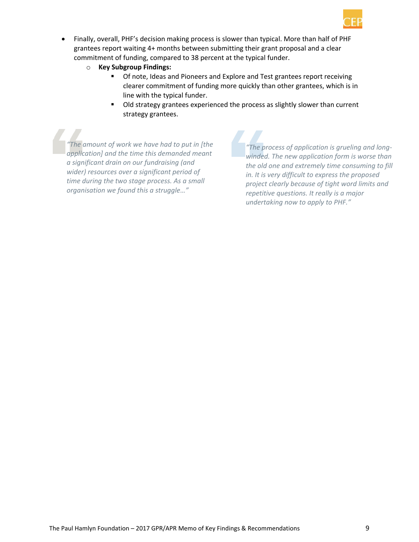

- Finally, overall, PHF's decision making process is slower than typical. More than half of PHF grantees report waiting 4+ months between submitting their grant proposal and a clear commitment of funding, compared to 38 percent at the typical funder.
	- o **Key Subgroup Findings:** 
		- **Of note, Ideas and Pioneers and Explore and Test grantees report receiving** clearer commitment of funding more quickly than other grantees, which is in line with the typical funder.
		- Old strategy grantees experienced the process as slightly slower than current strategy grantees.

*"The amount of work we have had to put in [the application] and the time this demanded meant a significant drain on our fundraising (and wider) resources over a significant period of time during the two stage process. As a small organisation we found this a struggle…"*

*"The process of application is grueling and longwinded. The new application form is worse than the old one and extremely time consuming to fill in. It is very difficult to express the proposed project clearly because of tight word limits and repetitive questions. It really is a major undertaking now to apply to PHF."*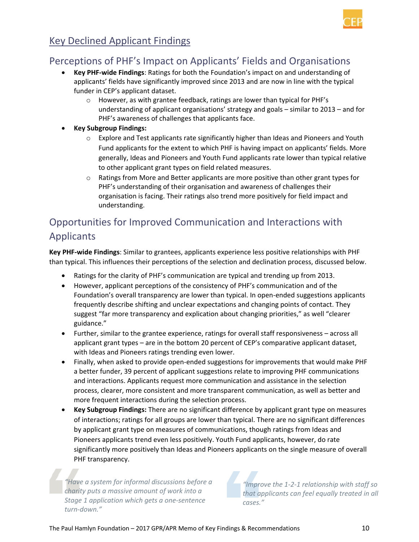

### Key Declined Applicant Findings

### Perceptions of PHF's Impact on Applicants' Fields and Organisations

- **Key PHF-wide Findings**: Ratings for both the Foundation's impact on and understanding of applicants' fields have significantly improved since 2013 and are now in line with the typical funder in CEP's applicant dataset.
	- o However, as with grantee feedback, ratings are lower than typical for PHF's understanding of applicant organisations' strategy and goals – similar to 2013 – and for PHF's awareness of challenges that applicants face.
- **Key Subgroup Findings:** 
	- o Explore and Test applicants rate significantly higher than Ideas and Pioneers and Youth Fund applicants for the extent to which PHF is having impact on applicants' fields. More generally, Ideas and Pioneers and Youth Fund applicants rate lower than typical relative to other applicant grant types on field related measures.
	- $\circ$  Ratings from More and Better applicants are more positive than other grant types for PHF's understanding of their organisation and awareness of challenges their organisation is facing. Their ratings also trend more positively for field impact and understanding.

# Opportunities for Improved Communication and Interactions with Applicants

**Key PHF-wide Findings**: Similar to grantees, applicants experience less positive relationships with PHF than typical. This influences their perceptions of the selection and declination process, discussed below.

- Ratings for the clarity of PHF's communication are typical and trending up from 2013.
- However, applicant perceptions of the consistency of PHF's communication and of the Foundation's overall transparency are lower than typical. In open-ended suggestions applicants frequently describe shifting and unclear expectations and changing points of contact. They suggest "far more transparency and explication about changing priorities," as well "clearer guidance."
- Further, similar to the grantee experience, ratings for overall staff responsiveness across all applicant grant types – are in the bottom 20 percent of CEP's comparative applicant dataset, with Ideas and Pioneers ratings trending even lower.
- Finally, when asked to provide open-ended suggestions for improvements that would make PHF a better funder, 39 percent of applicant suggestions relate to improving PHF communications and interactions. Applicants request more communication and assistance in the selection process, clearer, more consistent and more transparent communication, as well as better and more frequent interactions during the selection process.
- **Key Subgroup Findings:** There are no significant difference by applicant grant type on measures of interactions; ratings for all groups are lower than typical. There are no significant differences by applicant grant type on measures of communications, though ratings from Ideas and Pioneers applicants trend even less positively. Youth Fund applicants, however, do rate significantly more positively than Ideas and Pioneers applicants on the single measure of overall PHF transparency.

*"Have a system for informal discussions before a charity puts a massive amount of work into a Stage 1 application which gets a one-sentence turn-down."*

*"Improve the 1-2-1 relationship with staff so that applicants can feel equally treated in all cases."*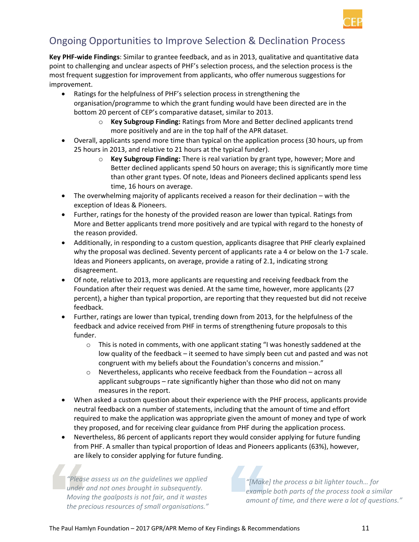

### Ongoing Opportunities to Improve Selection & Declination Process

**Key PHF-wide Findings**: Similar to grantee feedback, and as in 2013, qualitative and quantitative data point to challenging and unclear aspects of PHF's selection process, and the selection process is the most frequent suggestion for improvement from applicants, who offer numerous suggestions for improvement.

- Ratings for the helpfulness of PHF's selection process in strengthening the organisation/programme to which the grant funding would have been directed are in the bottom 20 percent of CEP's comparative dataset, similar to 2013.
	- o **Key Subgroup Finding:** Ratings from More and Better declined applicants trend more positively and are in the top half of the APR dataset.
- Overall, applicants spend more time than typical on the application process (30 hours, up from 25 hours in 2013, and relative to 21 hours at the typical funder).
	- o **Key Subgroup Finding:** There is real variation by grant type, however; More and Better declined applicants spend 50 hours on average; this is significantly more time than other grant types. Of note, Ideas and Pioneers declined applicants spend less time, 16 hours on average.
- The overwhelming majority of applicants received a reason for their declination with the exception of Ideas & Pioneers.
- Further, ratings for the honesty of the provided reason are lower than typical. Ratings from More and Better applicants trend more positively and are typical with regard to the honesty of the reason provided.
- Additionally, in responding to a custom question, applicants disagree that PHF clearly explained why the proposal was declined. Seventy percent of applicants rate a 4 or below on the 1-7 scale. Ideas and Pioneers applicants, on average, provide a rating of 2.1, indicating strong disagreement.
- Of note, relative to 2013, more applicants are requesting and receiving feedback from the Foundation after their request was denied. At the same time, however, more applicants (27 percent), a higher than typical proportion, are reporting that they requested but did not receive feedback.
- Further, ratings are lower than typical, trending down from 2013, for the helpfulness of the feedback and advice received from PHF in terms of strengthening future proposals to this funder.
	- $\circ$  This is noted in comments, with one applicant stating "I was honestly saddened at the low quality of the feedback – it seemed to have simply been cut and pasted and was not congruent with my beliefs about the Foundation's concerns and mission."
	- $\circ$  Nevertheless, applicants who receive feedback from the Foundation across all applicant subgroups – rate significantly higher than those who did not on many measures in the report.
- When asked a custom question about their experience with the PHF process, applicants provide neutral feedback on a number of statements, including that the amount of time and effort required to make the application was appropriate given the amount of money and type of work they proposed, and for receiving clear guidance from PHF during the application process.
- Nevertheless, 86 percent of applicants report they would consider applying for future funding from PHF. A smaller than typical proportion of Ideas and Pioneers applicants (63%), however, are likely to consider applying for future funding.

*"Please assess us on the guidelines we applied under and not ones brought in subsequently. Moving the goalposts is not fair, and it wastes the precious resources of small organisations."*

*"[Make] the process a bit lighter touch… for example both parts of the process took a similar amount of time, and there were a lot of questions."*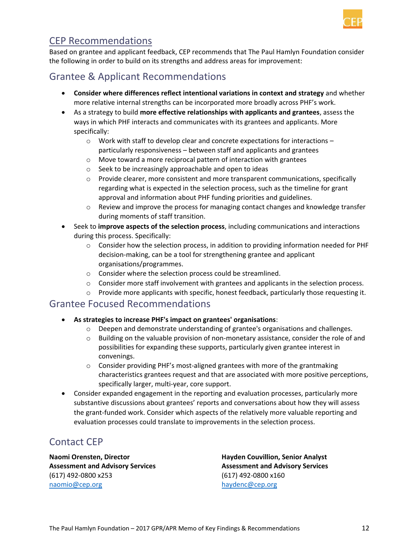

### CEP Recommendations

Based on grantee and applicant feedback, CEP recommends that The Paul Hamlyn Foundation consider the following in order to build on its strengths and address areas for improvement:

### Grantee & Applicant Recommendations

- **Consider where differences reflect intentional variations in context and strategy** and whether more relative internal strengths can be incorporated more broadly across PHF's work.
- As a strategy to build **more effective relationships with applicants and grantees**, assess the ways in which PHF interacts and communicates with its grantees and applicants. More specifically:
	- $\circ$  Work with staff to develop clear and concrete expectations for interactions particularly responsiveness – between staff and applicants and grantees
	- o Move toward a more reciprocal pattern of interaction with grantees
	- o Seek to be increasingly approachable and open to ideas
	- $\circ$  Provide clearer, more consistent and more transparent communications, specifically regarding what is expected in the selection process, such as the timeline for grant approval and information about PHF funding priorities and guidelines.
	- $\circ$  Review and improve the process for managing contact changes and knowledge transfer during moments of staff transition.
- Seek to **improve aspects of the selection process**, including communications and interactions during this process. Specifically:
	- $\circ$  Consider how the selection process, in addition to providing information needed for PHF decision-making, can be a tool for strengthening grantee and applicant organisations/programmes.
	- o Consider where the selection process could be streamlined.
	- $\circ$  Consider more staff involvement with grantees and applicants in the selection process.
	- $\circ$  Provide more applicants with specific, honest feedback, particularly those requesting it.

#### Grantee Focused Recommendations

- **As strategies to increase PHF's impact on grantees' organisations**:
	- $\circ$  Deepen and demonstrate understanding of grantee's organisations and challenges.
	- o Building on the valuable provision of non-monetary assistance, consider the role of and possibilities for expanding these supports, particularly given grantee interest in convenings.
	- $\circ$  Consider providing PHF's most-aligned grantees with more of the grantmaking characteristics grantees request and that are associated with more positive perceptions, specifically larger, multi-year, core support.
- Consider expanded engagement in the reporting and evaluation processes, particularly more substantive discussions about grantees' reports and conversations about how they will assess the grant-funded work. Consider which aspects of the relatively more valuable reporting and evaluation processes could translate to improvements in the selection process.

### Contact CEP

**Naomi Orensten, Director Assessment and Advisory Services**  (617) 492-0800 x253 [naomio@cep.org](mailto:naomio@cep.org)

**Hayden Couvillion, Senior Analyst Assessment and Advisory Services** (617) 492-0800 x160 [haydenc@cep.org](mailto:haydenc@cep.org)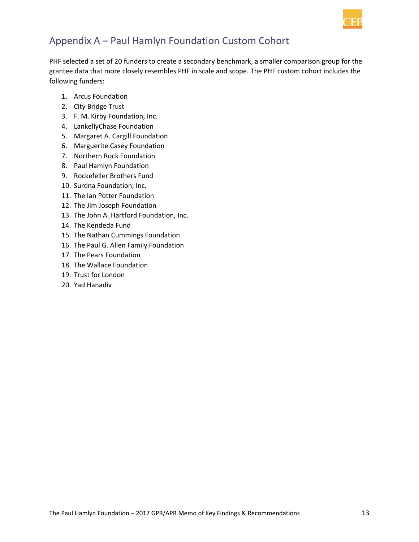

# Appendix A – Paul Hamlyn Foundation Custom Cohort

PHF selected a set of 20 funders to create a secondary benchmark, a smaller comparison group for the grantee data that more closely resembles PHF in scale and scope. The PHF custom cohort includes the following funders:

- 1. Arcus Foundation
- 2. City Bridge Trust
- 3. F. M. Kirby Foundation, Inc.
- 4. LankellyChase Foundation
- 5. Margaret A. Cargill Foundation
- 6. Marguerite Casey Foundation
- 7. Northern Rock Foundation
- 8. Paul Hamlyn Foundation
- 9. Rockefeller Brothers Fund
- 10. Surdna Foundation, Inc.
- 11. The Ian Potter Foundation
- 12. The Jim Joseph Foundation
- 13. The John A. Hartford Foundation, Inc.
- 14. The Kendeda Fund
- 15. The Nathan Cummings Foundation
- 16. The Paul G. Allen Family Foundation
- 17. The Pears Foundation
- 18. The Wallace Foundation
- 19. Trust for London
- 20. Yad Hanadiv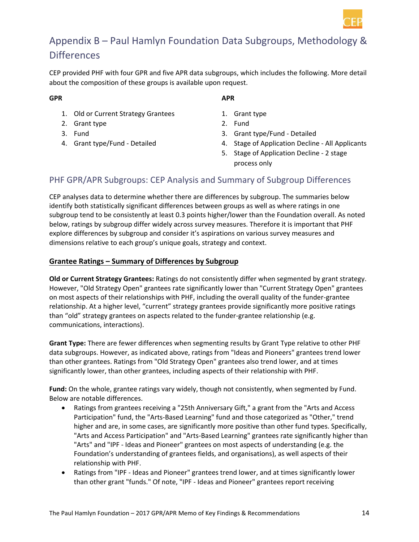

# Appendix B – Paul Hamlyn Foundation Data Subgroups, Methodology & **Differences**

CEP provided PHF with four GPR and five APR data subgroups, which includes the following. More detail about the composition of these groups is available upon request.

#### **GPR**

#### **APR**

- 1. Old or Current Strategy Grantees
- 2. Grant type
- 3. Fund
- 4. Grant type/Fund Detailed
- 1. Grant type
- 2. Fund
- 3. Grant type/Fund Detailed
- 4. Stage of Application Decline All Applicants
- 5. Stage of Application Decline 2 stage process only

#### PHF GPR/APR Subgroups: CEP Analysis and Summary of Subgroup Differences

CEP analyses data to determine whether there are differences by subgroup. The summaries below identify both statistically significant differences between groups as well as where ratings in one subgroup tend to be consistently at least 0.3 points higher/lower than the Foundation overall. As noted below, ratings by subgroup differ widely across survey measures. Therefore it is important that PHF explore differences by subgroup and consider it's aspirations on various survey measures and dimensions relative to each group's unique goals, strategy and context.

#### **Grantee Ratings – Summary of Differences by Subgroup**

**Old or Current Strategy Grantees:** Ratings do not consistently differ when segmented by grant strategy. However, "Old Strategy Open" grantees rate significantly lower than "Current Strategy Open" grantees on most aspects of their relationships with PHF, including the overall quality of the funder-grantee relationship. At a higher level, "current" strategy grantees provide significantly more positive ratings than "old" strategy grantees on aspects related to the funder-grantee relationship (e.g. communications, interactions).

**Grant Type:** There are fewer differences when segmenting results by Grant Type relative to other PHF data subgroups. However, as indicated above, ratings from "Ideas and Pioneers" grantees trend lower than other grantees. Ratings from "Old Strategy Open" grantees also trend lower, and at times significantly lower, than other grantees, including aspects of their relationship with PHF.

**Fund:** On the whole, grantee ratings vary widely, though not consistently, when segmented by Fund. Below are notable differences.

- Ratings from grantees receiving a "25th Anniversary Gift," a grant from the "Arts and Access Participation" fund, the "Arts-Based Learning" fund and those categorized as "Other," trend higher and are, in some cases, are significantly more positive than other fund types. Specifically, "Arts and Access Participation" and "Arts-Based Learning" grantees rate significantly higher than "Arts" and "IPF - Ideas and Pioneer" grantees on most aspects of understanding (e.g. the Foundation's understanding of grantees fields, and organisations), as well aspects of their relationship with PHF.
- Ratings from "IPF Ideas and Pioneer" grantees trend lower, and at times significantly lower than other grant "funds." Of note, "IPF - Ideas and Pioneer" grantees report receiving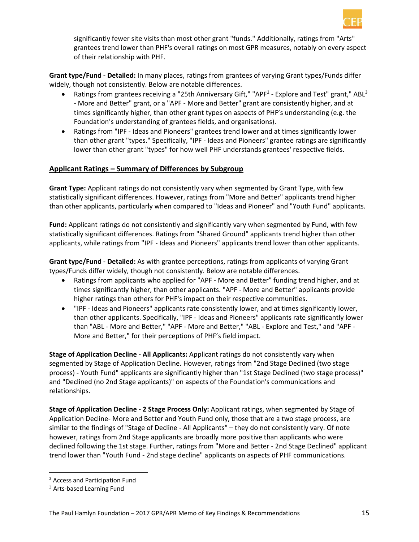

significantly fewer site visits than most other grant "funds." Additionally, ratings from "Arts" grantees trend lower than PHF's overall ratings on most GPR measures, notably on every aspect of their relationship with PHF.

**Grant type/Fund - Detailed:** In many places, ratings from grantees of varying Grant types/Funds differ widely, though not consistently. Below are notable differences.

- Ratings from grantees receiving a "25th Anniversary Gift," "APF<sup>2</sup> Explore and Test" grant," ABL<sup>3</sup> - More and Better" grant, or a "APF - More and Better" grant are consistently higher, and at times significantly higher, than other grant types on aspects of PHF's understanding (e.g. the Foundation's understanding of grantees fields, and organisations).
- Ratings from "IPF Ideas and Pioneers" grantees trend lower and at times significantly lower than other grant "types." Specifically, "IPF - Ideas and Pioneers" grantee ratings are significantly lower than other grant "types" for how well PHF understands grantees' respective fields.

#### **Applicant Ratings – Summary of Differences by Subgroup**

**Grant Type:** Applicant ratings do not consistently vary when segmented by Grant Type, with few statistically significant differences. However, ratings from "More and Better" applicants trend higher than other applicants, particularly when compared to "Ideas and Pioneer" and "Youth Fund" applicants.

**Fund:** Applicant ratings do not consistently and significantly vary when segmented by Fund, with few statistically significant differences. Ratings from "Shared Ground" applicants trend higher than other applicants, while ratings from "IPF - Ideas and Pioneers" applicants trend lower than other applicants.

**Grant type/Fund - Detailed:** As with grantee perceptions, ratings from applicants of varying Grant types/Funds differ widely, though not consistently. Below are notable differences.

- Ratings from applicants who applied for "APF More and Better" funding trend higher, and at times significantly higher, than other applicants. "APF - More and Better" applicants provide higher ratings than others for PHF's impact on their respective communities.
- "IPF Ideas and Pioneers" applicants rate consistently lower, and at times significantly lower, than other applicants. Specifically, "IPF - Ideas and Pioneers" applicants rate significantly lower than "ABL - More and Better," "APF - More and Better," "ABL - Explore and Test," and "APF - More and Better," for their perceptions of PHF's field impact.

**Stage of Application Decline - All Applicants:** Applicant ratings do not consistently vary when segmented by Stage of Application Decline. However, ratings from "2nd Stage Declined (two stage process) - Youth Fund" applicants are significantly higher than "1st Stage Declined (two stage process)" and "Declined (no 2nd Stage applicants)" on aspects of the Foundation's communications and relationships.

**Stage of Application Decline - 2 Stage Process Only:** Applicant ratings, when segmented by Stage of Application Decline- More and Better and Youth Fund only, those that are a two stage process, are similar to the findings of "Stage of Decline - All Applicants" – they do not consistently vary. Of note however, ratings from 2nd Stage applicants are broadly more positive than applicants who were declined following the 1st stage. Further, ratings from "More and Better - 2nd Stage Declined" applicant trend lower than "Youth Fund - 2nd stage decline" applicants on aspects of PHF communications.

 $\overline{\phantom{a}}$ 

<sup>2</sup> Access and Participation Fund

<sup>3</sup> Arts-based Learning Fund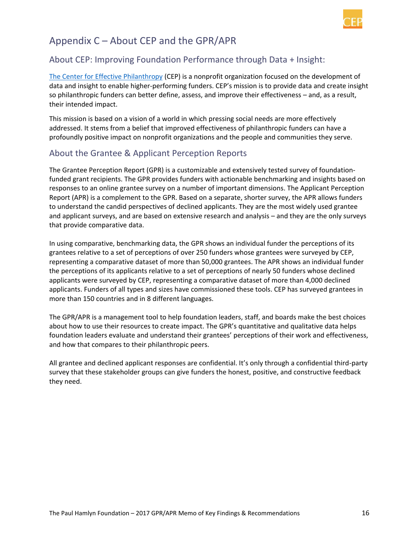

## Appendix C – About CEP and the GPR/APR

#### About CEP: Improving Foundation Performance through Data + Insight:

[The Center for Effective Philanthropy](http://www.cep.org/) (CEP) is a nonprofit organization focused on the development of data and insight to enable higher-performing funders. CEP's mission is to provide data and create insight so philanthropic funders can better define, assess, and improve their effectiveness – and, as a result, their intended impact.

This mission is based on a vision of a world in which pressing social needs are more effectively addressed. It stems from a belief that improved effectiveness of philanthropic funders can have a profoundly positive impact on nonprofit organizations and the people and communities they serve.

#### About the Grantee & Applicant Perception Reports

[The Grantee Perception Report](http://cep.org/assessments/grantee-and-applicant-perception-reports/) (GPR) is a customizable and extensively tested survey of foundationfunded grant recipients. The GPR provides funders with actionable benchmarking and insights based on responses to an online grantee survey on a number of important dimensions. The Applicant Perception Report (APR) is a complement to the GPR. Based on a separate, shorter survey, the APR allows funders to understand the candid perspectives of declined applicants. They are the most widely used grantee and applicant surveys, and are based on extensive research and analysis – and they are the only surveys that provide comparative data.

In using comparative, benchmarking data, the GPR shows an individual funder the perceptions of its grantees relative to a set of perceptions of over 250 funders whose grantees were surveyed by CEP, representing a comparative dataset of more than 50,000 grantees. The APR shows an individual funder the perceptions of its applicants relative to a set of perceptions of nearly 50 funders whose declined applicants were surveyed by CEP, representing a comparative dataset of more than 4,000 declined applicants. Funders of all types and sizes have commissioned these tools. CEP has surveyed grantees in more than 150 countries and in 8 different languages.

The GPR/APR is a management tool to help foundation leaders, staff, and boards make the best choices about how to use their resources to create impact. The GPR's quantitative and qualitative data helps foundation leaders evaluate and understand their grantees' perceptions of their work and effectiveness, and how that compares to their philanthropic peers.

All grantee and declined applicant responses are confidential. It's only through a confidential third-party survey that these stakeholder groups can give funders the honest, positive, and constructive feedback they need.